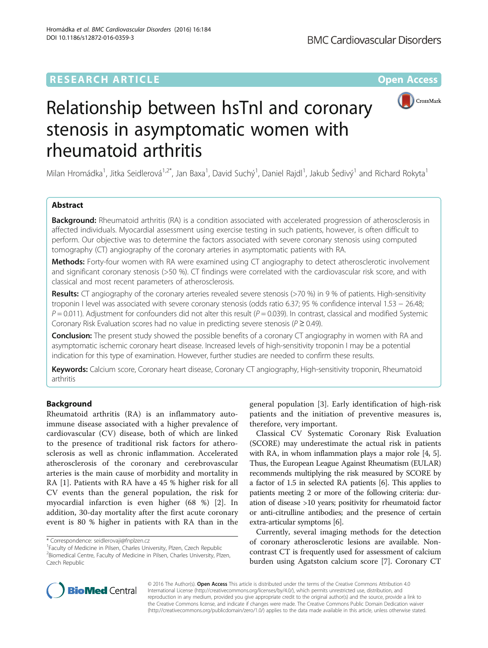## **RESEARCH ARTICLE External Structure Community Community Community Community Community Community Community Community**



# Relationship between hsTnI and coronary stenosis in asymptomatic women with rheumatoid arthritis

Milan Hromádka<sup>1</sup>, Jitka Seidlerová<sup>1,2\*</sup>, Jan Baxa<sup>1</sup>, David Suchý<sup>1</sup>, Daniel Rajdl<sup>1</sup>, Jakub Šedivý<sup>1</sup> and Richard Rokyta<sup>1</sup>

#### Abstract

**Background:** Rheumatoid arthritis (RA) is a condition associated with accelerated progression of atherosclerosis in affected individuals. Myocardial assessment using exercise testing in such patients, however, is often difficult to perform. Our objective was to determine the factors associated with severe coronary stenosis using computed tomography (CT) angiography of the coronary arteries in asymptomatic patients with RA.

Methods: Forty-four women with RA were examined using CT angiography to detect atherosclerotic involvement and significant coronary stenosis (>50 %). CT findings were correlated with the cardiovascular risk score, and with classical and most recent parameters of atherosclerosis.

Results: CT angiography of the coronary arteries revealed severe stenosis (>70 %) in 9 % of patients. High-sensitivity troponin I level was associated with severe coronary stenosis (odds ratio 6.37; 95 % confidence interval 1.53 − 26.48;  $P = 0.011$ ). Adjustment for confounders did not alter this result ( $P = 0.039$ ). In contrast, classical and modified Systemic Coronary Risk Evaluation scores had no value in predicting severe stenosis ( $P \ge 0.49$ ).

**Conclusion:** The present study showed the possible benefits of a coronary CT angiography in women with RA and asymptomatic ischemic coronary heart disease. Increased levels of high-sensitivity troponin I may be a potential indication for this type of examination. However, further studies are needed to confirm these results.

Keywords: Calcium score, Coronary heart disease, Coronary CT angiography, High-sensitivity troponin, Rheumatoid arthritis

### Background

Rheumatoid arthritis (RA) is an inflammatory autoimmune disease associated with a higher prevalence of cardiovascular (CV) disease, both of which are linked to the presence of traditional risk factors for atherosclerosis as well as chronic inflammation. Accelerated atherosclerosis of the coronary and cerebrovascular arteries is the main cause of morbidity and mortality in RA [[1\]](#page-6-0). Patients with RA have a 45 % higher risk for all CV events than the general population, the risk for myocardial infarction is even higher (68 %) [[2](#page-6-0)]. In addition, 30-day mortality after the first acute coronary event is 80 % higher in patients with RA than in the

general population [[3\]](#page-6-0). Early identification of high-risk patients and the initiation of preventive measures is, therefore, very important.

Classical CV Systematic Coronary Risk Evaluation (SCORE) may underestimate the actual risk in patients with RA, in whom inflammation plays a major role [[4](#page-6-0), [5](#page-6-0)]. Thus, the European League Against Rheumatism (EULAR) recommends multiplying the risk measured by SCORE by a factor of 1.5 in selected RA patients [\[6](#page-6-0)]. This applies to patients meeting 2 or more of the following criteria: duration of disease >10 years; positivity for rheumatoid factor or anti-citrulline antibodies; and the presence of certain extra-articular symptoms [[6](#page-6-0)].

Currently, several imaging methods for the detection of coronary atherosclerotic lesions are available. Noncontrast CT is frequently used for assessment of calcium burden using Agatston calcium score [[7](#page-6-0)]. Coronary CT



© 2016 The Author(s). Open Access This article is distributed under the terms of the Creative Commons Attribution 4.0 International License [\(http://creativecommons.org/licenses/by/4.0/](http://creativecommons.org/licenses/by/4.0/)), which permits unrestricted use, distribution, and reproduction in any medium, provided you give appropriate credit to the original author(s) and the source, provide a link to the Creative Commons license, and indicate if changes were made. The Creative Commons Public Domain Dedication waiver [\(http://creativecommons.org/publicdomain/zero/1.0/](http://creativecommons.org/publicdomain/zero/1.0/)) applies to the data made available in this article, unless otherwise stated.

<sup>\*</sup> Correspondence: [seidlerovaji@fnplzen.cz](mailto:seidlerovaji@fnplzen.cz) <sup>1</sup>

<sup>&</sup>lt;sup>1</sup> Faculty of Medicine in Pilsen, Charles University, Plzen, Czech Republic <sup>2</sup> Biomedical Centre, Faculty of Medicine in Pilsen, Charles University, Plzen, Czech Republic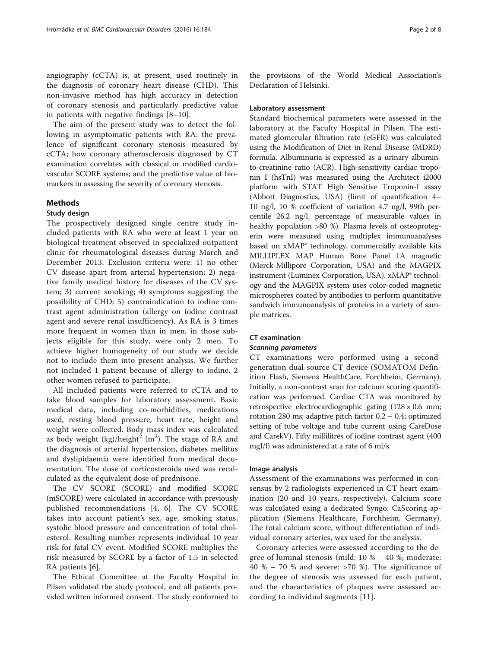angiography (cCTA) is, at present, used routinely in the diagnosis of coronary heart disease (CHD). This non-invasive method has high accuracy in detection of coronary stenosis and particularly predictive value in patients with negative findings [\[8](#page-6-0)–[10](#page-6-0)].

The aim of the present study was to detect the following in asymptomatic patients with RA: the prevalence of significant coronary stenosis measured by cCTA; how coronary atherosclerosis diagnosed by CT examination correlates with classical or modified cardiovascular SCORE systems; and the predictive value of biomarkers in assessing the severity of coronary stenosis.

#### Methods

#### Study design

The prospectively designed single centre study included patients with RA who were at least 1 year on biological treatment observed in specialized outpatient clinic for rheumatological diseases during March and December 2013. Exclusion criteria were: 1) no other CV disease apart from arterial hypertension; 2) negative family medical history for diseases of the CV system; 3) current smoking; 4) symptoms suggesting the possibility of CHD; 5) contraindication to iodine contrast agent administration (allergy on iodine contrast agent and severe renal insufficiency). As RA is 3 times more frequent in women than in men, in those subjects eligible for this study, were only 2 men. To achieve higher homogeneity of our study we decide not to include them into present analysis. We further not included 1 patient because of allergy to iodine, 2 other women refused to participate.

All included patients were referred to cCTA and to take blood samples for laboratory assessment. Basic medical data, including co-morbidities, medications used, resting blood pressure, heart rate, height and weight were collected. Body mass index was calculated as body weight (kg)/height $^2$  (m<sup>2</sup>). The stage of RA and the diagnosis of arterial hypertension, diabetes mellitus and dyslipidaemia were identified from medical documentation. The dose of corticosteroids used was recalculated as the equivalent dose of prednisone.

The CV SCORE (SCORE) and modified SCORE (mSCORE) were calculated in accordance with previously published recommendations [\[4](#page-6-0), [6](#page-6-0)]. The CV SCORE takes into account patient's sex, age, smoking status, systolic blood pressure and concentration of total cholesterol. Resulting number represents individual 10 year risk for fatal CV event. Modified SCORE multiplies the risk measured by SCORE by a factor of 1.5 in selected RA patients [\[6](#page-6-0)].

The Ethical Committee at the Faculty Hospital in Pilsen validated the study protocol, and all patients provided written informed consent. The study conformed to

the provisions of the World Medical Association's Declaration of Helsinki.

#### Laboratory assessment

Standard biochemical parameters were assessed in the laboratory at the Faculty Hospital in Pilsen. The estimated glomerular filtration rate (eGFR) was calculated using the Modification of Diet in Renal Disease (MDRD) formula. Albuminuria is expressed as a urinary albuminto-creatinine ratio (ACR). High-sensitivity cardiac troponin I (hsTnI) was measured using the Architect i2000 platform with STAT High Sensitive Troponin-I assay (Abbott Diagnostics, USA) (limit of quantification 4– 10 ng/l, 10 % coefficient of variation 4.7 ng/l, 99th percentile 26.2 ng/l, percentage of measurable values in healthy population >80 %). Plasma levels of osteoprotegerin were measured using multiplex immunoanalyses based on xMAP<sup>®</sup> technology, commercially available kits MILLIPLEX MAP Human Bone Panel 1A magnetic (Merck-Millipore Corporation, USA) and the MAGPIX instrument (Luminex Corporation, USA). xMAP® technology and the MAGPIX system uses color-coded magnetic microspheres coated by antibodies to perform quantitative sandwich immunoanalysis of proteins in a variety of sample matrices.

#### CT examination

Scanning parameters CT examinations were performed using a secondgeneration dual-source CT device (SOMATOM Definition Flash, Siemens HealthCare, Forchheim, Germany). Initially, a non-contrast scan for calcium scoring quantification was performed. Cardiac CTA was monitored by retrospective electrocardiographic gating (128 × 0.6 mm; rotation 280 ms; adaptive pitch factor 0.2 − 0.4; optimized setting of tube voltage and tube current using CareDose and CarekV). Fifty millilitres of iodine contrast agent (400 mgI/l) was administered at a rate of 6 ml/s.

#### Image analysis

Assessment of the examinations was performed in consensus by 2 radiologists experienced in CT heart examination (20 and 10 years, respectively). Calcium score was calculated using a dedicated Syngo. CaScoring application (Siemens Healthcare, Forchheim, Germany). The total calcium score, without differentiation of individual coronary arteries, was used for the analysis.

Coronary arteries were assessed according to the degree of luminal stenosis (mild: 10 % − 40 %; moderate: 40 % − 70 % and severe: >70 %). The significance of the degree of stenosis was assessed for each patient, and the characteristics of plaques were assessed according to individual segments [[11\]](#page-6-0).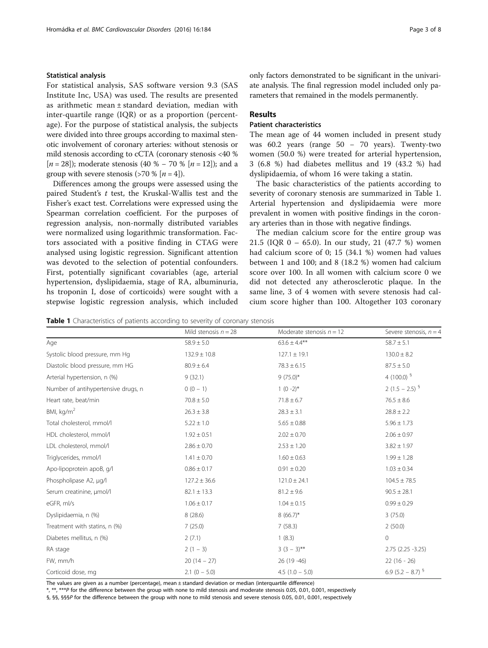#### <span id="page-2-0"></span>Statistical analysis

For statistical analysis, SAS software version 9.3 (SAS Institute Inc, USA) was used. The results are presented as arithmetic mean ± standard deviation, median with inter-quartile range (IQR) or as a proportion (percentage). For the purpose of statistical analysis, the subjects were divided into three groups according to maximal stenotic involvement of coronary arteries: without stenosis or mild stenosis according to cCTA (coronary stenosis <40 % [*n* = 28]); moderate stenosis (40 % − 70 % [*n* = 12]); and a group with severe stenosis ( $>70\%$  [ $n=4$ ]).

Differences among the groups were assessed using the paired Student's t test, the Kruskal-Wallis test and the Fisher's exact test. Correlations were expressed using the Spearman correlation coefficient. For the purposes of regression analysis, non-normally distributed variables were normalized using logarithmic transformation. Factors associated with a positive finding in CTAG were analysed using logistic regression. Significant attention was devoted to the selection of potential confounders. First, potentially significant covariables (age, arterial hypertension, dyslipidaemia, stage of RA, albuminuria, hs troponin I, dose of corticoids) were sought with a stepwise logistic regression analysis, which included only factors demonstrated to be significant in the univariate analysis. The final regression model included only parameters that remained in the models permanently.

#### Results

#### Patient characteristics

The mean age of 44 women included in present study was  $60.2$  years (range  $50 - 70$  years). Twenty-two women (50.0 %) were treated for arterial hypertension, 3 (6.8 %) had diabetes mellitus and 19 (43.2 %) had dyslipidaemia, of whom 16 were taking a statin.

The basic characteristics of the patients according to severity of coronary stenosis are summarized in Table 1. Arterial hypertension and dyslipidaemia were more prevalent in women with positive findings in the coronary arteries than in those with negative findings.

The median calcium score for the entire group was 21.5 (IQR 0 – 65.0). In our study, 21 (47.7 %) women had calcium score of 0; 15 (34.1 %) women had values between 1 and 100; and 8 (18.2 %) women had calcium score over 100. In all women with calcium score 0 we did not detected any atherosclerotic plaque. In the same line, 3 of 4 women with severe stenosis had calcium score higher than 100. Altogether 103 coronary

Table 1 Characteristics of patients according to severity of coronary stenosis

|                                     | Mild stenosis $n = 28$ | Moderate stenosis $n = 12$ | Severe stenosis, $n = 4$ |
|-------------------------------------|------------------------|----------------------------|--------------------------|
| Age                                 | $58.9 \pm 5.0$         | $63.6 \pm 4.4**$           | $58.7 \pm 5.1$           |
| Systolic blood pressure, mm Hg      | $132.9 \pm 10.8$       | $127.1 \pm 19.1$           | $130.0 \pm 8.2$          |
| Diastolic blood pressure, mm HG     | $80.9 \pm 6.4$         | $78.3 \pm 6.15$            | $87.5 \pm 5.0$           |
| Arterial hypertension, n (%)        | 9(32.1)                | $9(75.0)$ *                | 4 (100.0) $\frac{5}{3}$  |
| Number of antihypertensive drugs, n | $0(0 - 1)$             | $1(0-2)$ *                 | 2 $(1.5 - 2.5)^{9}$      |
| Heart rate, beat/min                | $70.8 \pm 5.0$         | $71.8 \pm 6.7$             | $76.5 \pm 8.6$           |
| BMI, kg/m <sup>2</sup>              | $26.3 \pm 3.8$         | $28.3 \pm 3.1$             | $28.8 \pm 2.2$           |
| Total cholesterol, mmol/l           | $5.22 \pm 1.0$         | $5.65 \pm 0.88$            | $5.96 \pm 1.73$          |
| HDL cholesterol, mmol/l             | $1.92 \pm 0.51$        | $2.02 \pm 0.70$            | $2.06 \pm 0.97$          |
| LDL cholesterol, mmol/l             | $2.86 \pm 0.70$        | $2.53 \pm 1.20$            | $3.82 \pm 1.97$          |
| Triglycerides, mmol/l               | $1.41 \pm 0.70$        | $1.60 \pm 0.63$            | $1.99 \pm 1.28$          |
| Apo-lipoprotein apoB, g/l           | $0.86 \pm 0.17$        | $0.91 \pm 0.20$            | $1.03 \pm 0.34$          |
| Phospholipase A2, µg/l              | $127.2 \pm 36.6$       | $121.0 \pm 24.1$           | $104.5 \pm 78.5$         |
| Serum creatinine, µmol/l            | $82.1 \pm 13.3$        | $81.2 \pm 9.6$             | $90.5 \pm 28.1$          |
| eGFR, ml/s                          | $1.06 \pm 0.17$        | $1.04 \pm 0.15$            | $0.99 \pm 0.29$          |
| Dyslipidaemia, n (%)                | 8(28.6)                | $8(66.7)^{*}$              | 3(75.0)                  |
| Treatment with statins, n (%)       | 7(25.0)                | 7(58.3)                    | 2(50.0)                  |
| Diabetes mellitus, n (%)            | 2(7.1)                 | 1(8.3)                     | $\mathbf 0$              |
| RA stage                            | $2(1 - 3)$             | $3(3-3)$ **                | $2.75$ $(2.25 - 3.25)$   |
| FW, mm/h                            | $20(14 - 27)$          | 26 (19 - 46)               | $22(16 - 26)$            |
| Corticoid dose, mg                  | $2.1(0 - 5.0)$         | 4.5 $(1.0 - 5.0)$          | 6.9 $(5.2 - 8.7)^{9}$    |

The values are given as a number (percentage), mean ± standard deviation or median (interquartile difference)

\*, \*\*, \*\*\*P for the difference between the group with none to mild stenosis and moderate stenosis 0.05, 0.01, 0.001, respectively

§, §§, §§§P for the difference between the group with none to mild stenosis and severe stenosis 0.05, 0.01, 0.001, respectively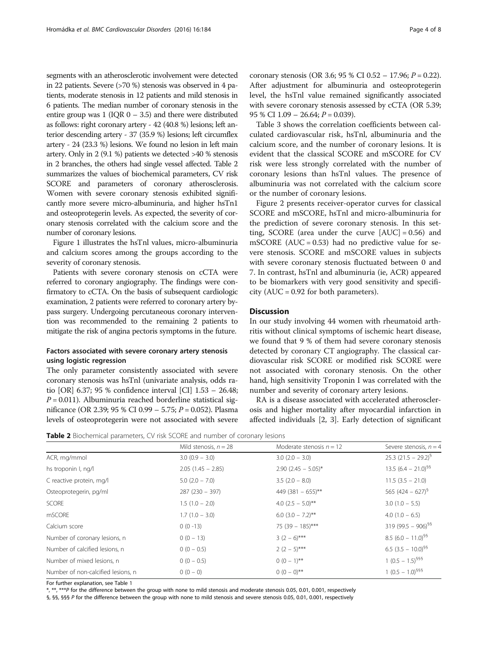segments with an atherosclerotic involvement were detected in 22 patients. Severe (>70 %) stenosis was observed in 4 patients, moderate stenosis in 12 patients and mild stenosis in 6 patients. The median number of coronary stenosis in the entire group was  $1$  (IQR  $0 - 3.5$ ) and there were distributed as follows: right coronary artery - 42 (40.8 %) lesions; left anterior descending artery - 37 (35.9 %) lesions; left circumflex artery - 24 (23.3 %) lesions. We found no lesion in left main artery. Only in 2 (9.1 %) patients we detected >40 % stenosis in 2 branches, the others had single vessel affected. Table 2 summarizes the values of biochemical parameters, CV risk SCORE and parameters of coronary atherosclerosis. Women with severe coronary stenosis exhibited significantly more severe micro-albuminuria, and higher hsTn1 and osteoprotegerin levels. As expected, the severity of coronary stenosis correlated with the calcium score and the number of coronary lesions.

Figure [1](#page-4-0) illustrates the hsTnl values, micro-albuminuria and calcium scores among the groups according to the severity of coronary stenosis.

Patients with severe coronary stenosis on cCTA were referred to coronary angiography. The findings were confirmatory to cCTA. On the basis of subsequent cardiologic examination, 2 patients were referred to coronary artery bypass surgery. Undergoing percutaneous coronary intervention was recommended to the remaining 2 patients to mitigate the risk of angina pectoris symptoms in the future.

#### Factors associated with severe coronary artery stenosis using logistic regression

The only parameter consistently associated with severe coronary stenosis was hsTnl (univariate analysis, odds ratio [OR] 6.37; 95 % confidence interval [CI] 1.53 – 26.48;  $P = 0.011$ ). Albuminuria reached borderline statistical significance (OR 2.39; 95 % CI 0.99 – 5.75;  $P = 0.052$ ). Plasma levels of osteoprotegerin were not associated with severe coronary stenosis (OR 3.6; 95 % CI 0.52 – 17.96;  $P = 0.22$ ). After adjustment for albuminuria and osteoprotegerin level, the hsTnl value remained significantly associated with severe coronary stenosis assessed by cCTA (OR 5.39; 95 % CI  $1.09 - 26.64$ ;  $P = 0.039$ ).

Table [3](#page-4-0) shows the correlation coefficients between calculated cardiovascular risk, hsTnl, albuminuria and the calcium score, and the number of coronary lesions. It is evident that the classical SCORE and mSCORE for CV risk were less strongly correlated with the number of coronary lesions than hsTnl values. The presence of albuminuria was not correlated with the calcium score or the number of coronary lesions.

Figure [2](#page-5-0) presents receiver-operator curves for classical SCORE and mSCORE, hsTnl and micro-albuminuria for the prediction of severe coronary stenosis. In this setting, SCORE (area under the curve  $[AUC] = 0.56$ ) and mSCORE ( $AUC = 0.53$ ) had no predictive value for severe stenosis. SCORE and mSCORE values in subjects with severe coronary stenosis fluctuated between 0 and 7. In contrast, hsTnl and albuminuria (ie, ACR) appeared to be biomarkers with very good sensitivity and specificity ( $AUC = 0.92$  for both parameters).

#### **Discussion**

In our study involving 44 women with rheumatoid arthritis without clinical symptoms of ischemic heart disease, we found that 9 % of them had severe coronary stenosis detected by coronary CT angiography. The classical cardiovascular risk SCORE or modified risk SCORE were not associated with coronary stenosis. On the other hand, high sensitivity Troponin I was correlated with the number and severity of coronary artery lesions.

RA is a disease associated with accelerated atherosclerosis and higher mortality after myocardial infarction in affected individuals [\[2, 3](#page-6-0)]. Early detection of significant

**Table 2** Biochemical parameters, CV risk SCORE and number of coronary lesions

|                                    | Mild stenosis, $n = 28$ | Moderate stenosis $n = 12$ | Severe stenosis, $n = 4$          |  |
|------------------------------------|-------------------------|----------------------------|-----------------------------------|--|
| ACR, mg/mmol                       | $3.0(0.9 - 3.0)$        | $3.0$ (2.0 - 3.0)          | $25.3$ (21.5 – 29.2) <sup>9</sup> |  |
| hs troponin I, ng/l                | $2.05(1.45 - 2.85)$     | $2.90$ (2.45 - 5.05)*      | 13.5 $(6.4 - 21.0)^{55}$          |  |
| C reactive protein, mg/l           | $5.0$ (2.0 $-$ 7.0)     | $3.5(2.0 - 8.0)$           | $11.5(3.5 - 21.0)$                |  |
| Osteoprotegerin, pg/ml             | $287(230 - 397)$        | 449 (381 - 655)**          | 565 $(424 - 627)^9$               |  |
| <b>SCORE</b>                       | $1.5(1.0 - 2.0)$        | 4.0 $(2.5 - 5.0)$ **       | $3.0(1.0 - 5.5)$                  |  |
| mSCORE                             | $1.7(1.0 - 3.0)$        | $6.0$ (3.0 – 7.2)**        | $4.0$ (1.0 – 6.5)                 |  |
| Calcium score                      | $0(0-13)$               | 75 (39 - 185)***           | 319 (99.5 - 906) <sup>§§</sup>    |  |
| Number of coronary lesions, n      | $0(0 - 13)$             | $3(2-6)***$                | $8.5(6.0 - 11.0)^{95}$            |  |
| Number of calcified lesions, n     | $0(0 - 0.5)$            | $2(2-5)***$                | 6.5 $(3.5 - 10.0)^{55}$           |  |
| Number of mixed lesions, n         | $0(0 - 0.5)$            | $0(0-1)$ **                | $1 (0.5 - 1.5)^{555}$             |  |
| Number of non-calcified lesions, n | $0(0 - 0)$              | $0(0-0)$ **                | $1 (0.5 - 1.0)^{555}$             |  |

For further explanation, see Table [1](#page-2-0)

\*, \*\*, \*\*\*P for the difference between the group with none to mild stenosis and moderate stenosis 0.05, 0.01, 0.001, respectively

§, §§, §§§ P for the difference between the group with none to mild stenosis and severe stenosis 0.05, 0.01, 0.001, respectively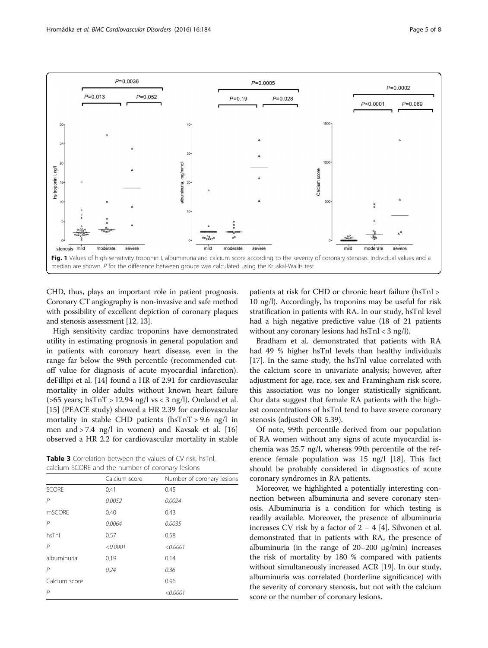<span id="page-4-0"></span>

CHD, thus, plays an important role in patient prognosis. Coronary CT angiography is non-invasive and safe method with possibility of excellent depiction of coronary plaques and stenosis assessment [[12](#page-6-0), [13](#page-6-0)].

High sensitivity cardiac troponins have demonstrated utility in estimating prognosis in general population and in patients with coronary heart disease, even in the range far below the 99th percentile (recommended cutoff value for diagnosis of acute myocardial infarction). deFillipi et al. [[14](#page-6-0)] found a HR of 2.91 for cardiovascular mortality in older adults without known heart failure ( $>65$  years; hsTnT  $> 12.94$  ng/l vs < 3 ng/l). Omland et al. [[15\]](#page-6-0) (PEACE study) showed a HR 2.39 for cardiovascular mortality in stable CHD patients (hsTnT > 9.6 ng/l in men and > 7.4 ng/l in women) and Kavsak et al. [[16](#page-7-0)] observed a HR 2.2 for cardiovascular mortality in stable

Table 3 Correlation between the values of CV risk, hsTnl, calcium SCORE and the number of coronary lesions

|                | Calcium score | Number of coronary lesions |
|----------------|---------------|----------------------------|
| <b>SCORE</b>   | 0.41          | 0.45                       |
| P              | 0.0052        | 0.0024                     |
| mSCORE         | 0.40          | 0.43                       |
| $\mathsf{P}$   | 0.0064        | 0.0035                     |
| hsTnl          | 0.57          | 0.58                       |
| P              | < 0.0001      | < 0.0001                   |
| albuminuria    | 0.19          | 0.14                       |
| P              | 0.24          | 0.36                       |
| Calcium score  |               | 0.96                       |
| $\overline{P}$ |               | < 0.0001                   |
|                |               |                            |

patients at risk for CHD or chronic heart failure (hsTnI > 10 ng/l). Accordingly, hs troponins may be useful for risk stratification in patients with RA. In our study, hsTnl level had a high negative predictive value (18 of 21 patients without any coronary lesions had hsTnI < 3 ng/l).

Bradham et al. demonstrated that patients with RA had 49 % higher hsTnl levels than healthy individuals [[17\]](#page-7-0). In the same study, the hsTnl value correlated with the calcium score in univariate analysis; however, after adjustment for age, race, sex and Framingham risk score, this association was no longer statistically significant. Our data suggest that female RA patients with the highest concentrations of hsTnI tend to have severe coronary stenosis (adjusted OR 5.39).

Of note, 99th percentile derived from our population of RA women without any signs of acute myocardial ischemia was 25.7 ng/l, whereas 99th percentile of the reference female population was 15 ng/l [[18](#page-7-0)]. This fact should be probably considered in diagnostics of acute coronary syndromes in RA patients.

Moreover, we highlighted a potentially interesting connection between albuminuria and severe coronary stenosis. Albuminuria is a condition for which testing is readily available. Moreover, the presence of albuminuria increases CV risk by a factor of 2 − 4 [\[4](#page-6-0)]. Sihvonen et al. demonstrated that in patients with RA, the presence of albuminuria (in the range of 20–200 μg/min) increases the risk of mortality by 180 % compared with patients without simultaneously increased ACR [\[19\]](#page-7-0). In our study, albuminuria was correlated (borderline significance) with the severity of coronary stenosis, but not with the calcium score or the number of coronary lesions.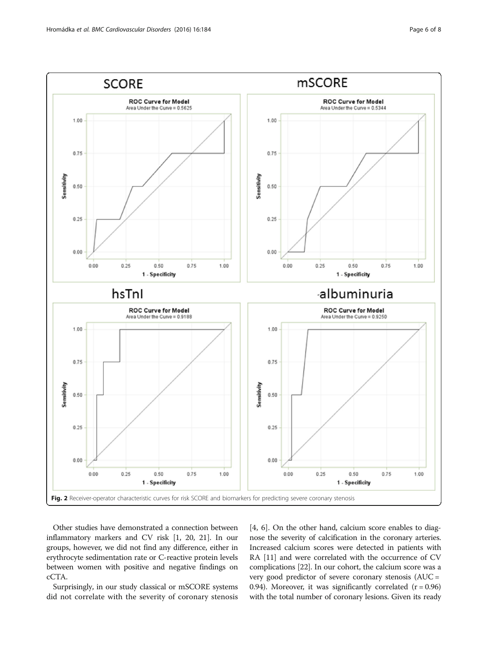<span id="page-5-0"></span>

Other studies have demonstrated a connection between inflammatory markers and CV risk [\[1](#page-6-0), [20, 21\]](#page-7-0). In our groups, however, we did not find any difference, either in erythrocyte sedimentation rate or C-reactive protein levels between women with positive and negative findings on cCTA.

Surprisingly, in our study classical or mSCORE systems did not correlate with the severity of coronary stenosis

[[4](#page-6-0), [6\]](#page-6-0). On the other hand, calcium score enables to diagnose the severity of calcification in the coronary arteries. Increased calcium scores were detected in patients with RA [[11](#page-6-0)] and were correlated with the occurrence of CV complications [\[22\]](#page-7-0). In our cohort, the calcium score was a very good predictor of severe coronary stenosis (AUC = 0.94). Moreover, it was significantly correlated  $(r = 0.96)$ with the total number of coronary lesions. Given its ready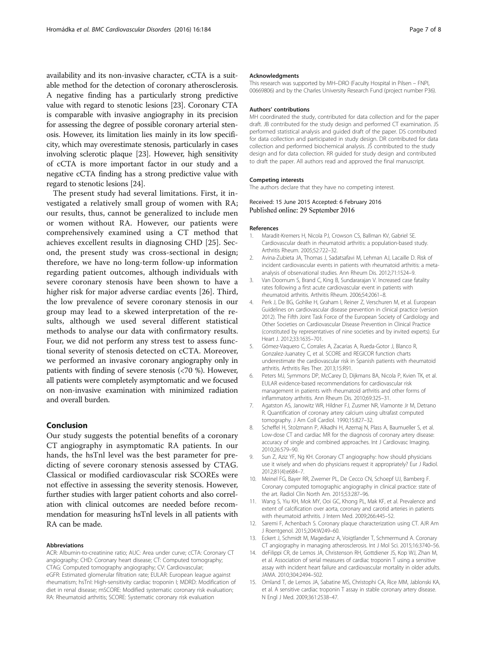<span id="page-6-0"></span>availability and its non-invasive character, cCTA is a suitable method for the detection of coronary atherosclerosis. A negative finding has a particularly strong predictive value with regard to stenotic lesions [\[23\]](#page-7-0). Coronary CTA is comparable with invasive angiography in its precision for assessing the degree of possible coronary arterial stenosis. However, its limitation lies mainly in its low specificity, which may overestimate stenosis, particularly in cases involving sclerotic plaque [[23](#page-7-0)]. However, high sensitivity of cCTA is more important factor in our study and a negative cCTA finding has a strong predictive value with regard to stenotic lesions [\[24\]](#page-7-0).

The present study had several limitations. First, it investigated a relatively small group of women with RA; our results, thus, cannot be generalized to include men or women without RA. However, our patients were comprehensively examined using a CT method that achieves excellent results in diagnosing CHD [[25\]](#page-7-0). Second, the present study was cross-sectional in design; therefore, we have no long-term follow-up information regarding patient outcomes, although individuals with severe coronary stenosis have been shown to have a higher risk for major adverse cardiac events [\[26](#page-7-0)]. Third, the low prevalence of severe coronary stenosis in our group may lead to a skewed interpretation of the results, although we used several different statistical methods to analyse our data with confirmatory results. Four, we did not perform any stress test to assess functional severity of stenosis detected on cCTA. Moreover, we performed an invasive coronary angiography only in patients with finding of severe stenosis (<70 %). However, all patients were completely asymptomatic and we focused on non-invasive examination with minimized radiation and overall burden.

#### Conclusion

Our study suggests the potential benefits of a coronary CT angiography in asymptomatic RA patients. In our hands, the hsTnl level was the best parameter for predicting of severe coronary stenosis assessed by CTAG. Classical or modified cardiovascular risk SCOREs were not effective in assessing the severity stenosis. However, further studies with larger patient cohorts and also correlation with clinical outcomes are needed before recommendation for measuring hsTnl levels in all patients with RA can be made.

#### Abbreviations

ACR: Albumin-to-creatinine ratio; AUC: Area under curve; cCTA: Coronary CT angiography; CHD: Coronary heart disease; CT: Computed tomography; CTAG: Computed tomography angiography; CV: Cardiovascular; eGFR: Estimated glomerular filtration rate; EULAR: European league against rheumatism; hsTnI: High-sensitivity cardiac troponin I; MDRD: Modification of diet in renal disease; mSCORE: Modified systematic coronary risk evaluation; RA: Rheumatoid arthritis; SCORE: Systematic coronary risk evaluation

#### Acknowledgments

This research was supported by MH–DRO (Faculty Hospital in Pilsen – FNPI, 00669806) and by the Charles University Research Fund (project number P36).

#### Authors' contributions

MH coordinated the study, contributed for data collection and for the paper draft. JB contributed for the study design and performed CT examination. JS performed statistical analysis and guided draft of the paper. DS contributed for data collection and participated in study design. DR contributed for data collection and performed biochemical analysis. JŠ contributed to the study design and for data collection. RR guided for study design and contributed to draft the paper. All authors read and approved the final manuscript.

#### Competing interests

The authors declare that they have no competing interest.

# Received: 15 June 2015 Accepted: 6 February 2016

#### References

- 1. Maradit-Kremers H, Nicola PJ, Crowson CS, Ballman KV, Gabriel SE. Cardiovascular death in rheumatoid arthritis: a population-based study. Arthritis Rheum. 2005;52:722–32.
- 2. Avina-Zubieta JA, Thomas J, Sadatsafavi M, Lehman AJ, Lacaille D. Risk of incident cardiovascular events in patients with rheumatoid arthritis: a metaanalysis of observational studies. Ann Rheum Dis. 2012;71:1524–9.
- Van Doornum S, Brand C, King B, Sundararajan V. Increased case fatality rates following a first acute cardiovascular event in patients with rheumatoid arthritis. Arthritis Rheum. 2006;54:2061–8.
- 4. Perk J, De BG, Gohlke H, Graham I, Reiner Z, Verschuren M, et al. European Guidelines on cardiovascular disease prevention in clinical practice (version 2012). The Fifth Joint Task Force of the European Society of Cardiology and Other Societies on Cardiovascular Disease Prevention in Clinical Practice (constituted by representatives of nine societies and by invited experts). Eur Heart J. 2012;33:1635–701.
- 5. Gómez-Vaquero C, Corrales A, Zacarias A, Rueda-Gotor J, Blanco R, Gonzalez-Juanatey C, et al. SCORE and REGICOR function charts underestimate the cardiovascular risk in Spanish patients with rheumatoid arthritis. Arthritis Res Ther. 2013;15:R91.
- 6. Peters MJ, Symmons DP, McCarey D, Dijkmans BA, Nicola P, Kvien TK, et al. EULAR evidence-based recommendations for cardiovascular risk management in patients with rheumatoid arthritis and other forms of inflammatory arthritis. Ann Rheum Dis. 2010;69:325–31.
- 7. Agatston AS, Janowitz WR, Hildner FJ, Zusmer NR, Viamonte Jr M, Detrano R. Quantification of coronary artery calcium using ultrafast computed tomography. J Am Coll Cardiol. 1990;15:827–32.
- 8. Scheffel H, Stolzmann P, Alkadhi H, Azemaj N, Plass A, Baumueller S, et al. Low-dose CT and cardiac MR for the diagnosis of coronary artery disease: accuracy of single and combined approaches. Int J Cardiovasc Imaging. 2010;26:579–90.
- 9. Sun Z, Aziz YF, Ng KH. Coronary CT angiography: how should physicians use it wisely and when do physicians request it appropriately? Eur J Radiol. 2012;81(4):e684–7.
- 10. Meinel FG, Bayer RR, Zwerner PL, De Cecco CN, Schoepf UJ, Bamberg F. Coronary computed tomographic angiography in clinical practice: state of the art. Radiol Clin North Am. 2015;53:287–96.
- 11. Wang S, Yiu KH, Mok MY, Ooi GC, Khong PL, Mak KF, et al. Prevalence and extent of calcification over aorta, coronary and carotid arteries in patients with rheumatoid arthritis. J Intern Med. 2009;266:445–52.
- 12. Saremi F, Achenbach S. Coronary plaque characterization using CT. AJR Am J Roentgenol. 2015;204:W249–60.
- 13. Eckert J, Schmidt M, Magedanz A, Voigtlander T, Schmermund A. Coronary CT angiography in managing atherosclerosis. Int J Mol Sci. 2015;16:3740–56.
- 14. deFilippi CR, de Lemos JA, Christenson RH, Gottdiener JS, Kop WJ, Zhan M, et al. Association of serial measures of cardiac troponin T using a sensitive assay with incident heart failure and cardiovascular mortality in older adults. JAMA. 2010;304:2494–502.
- 15. Omland T, de Lemos JA, Sabatine MS, Christophi CA, Rice MM, Jablonski KA, et al. A sensitive cardiac troponin T assay in stable coronary artery disease. N Engl J Med. 2009;361:2538–47.